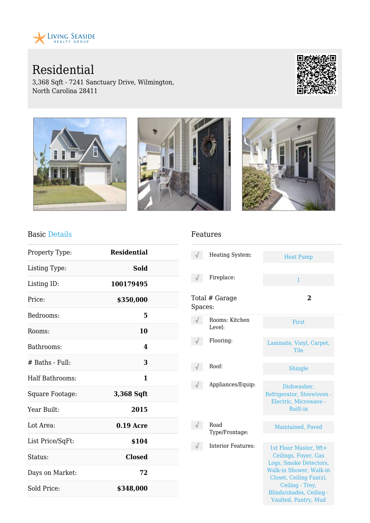

# Residential

3,368 Sqft - 7241 Sanctuary Drive, Wilmington, North Carolina 28411





#### Basic Details

| Property Type:    | <b>Residential</b> |  |
|-------------------|--------------------|--|
| Listing Type:     | Sold               |  |
| Listing ID:       | 100179495          |  |
| Price:            | \$350,000          |  |
| Bedrooms:         | 5                  |  |
| Rooms:            | 10                 |  |
| Bathrooms:        | 4                  |  |
| $#$ Baths - Full: | 3                  |  |
| Half Bathrooms:   | 1                  |  |
| Square Footage:   | 3,368 Sqft         |  |
| Year Built:       | 2015               |  |
| Lot Area:         | $0.19$ Acre        |  |
| List Price/SqFt:  | \$104              |  |
| Status:           | <b>Closed</b>      |  |
| Days on Market:   | 72                 |  |
| Sold Price:       | \$348,000          |  |

#### Features

|         | Heating System:           | <b>Heat Pump</b>                                                                                                                                                                                      |
|---------|---------------------------|-------------------------------------------------------------------------------------------------------------------------------------------------------------------------------------------------------|
|         | Fireplace:                | $\mathbf{1}$                                                                                                                                                                                          |
| Spaces: | Total # Garage            | $\mathbf 2$                                                                                                                                                                                           |
|         | Rooms: Kitchen<br>Level:  | <b>First</b>                                                                                                                                                                                          |
|         | Flooring:                 | Laminate, Vinyl, Carpet,<br>Tile                                                                                                                                                                      |
|         | Roof:                     | Shingle                                                                                                                                                                                               |
|         | Appliances/Equip:         | Dishwasher,<br>Refrigerator, Stove/oven -<br>Electric, Microwave -<br><b>Built-in</b>                                                                                                                 |
|         | Road<br>Type/Frontage:    | Maintained, Paved                                                                                                                                                                                     |
|         | <b>Interior Features:</b> | 1st Floor Master, 9ft+<br>Ceilings, Foyer, Gas<br>Logs, Smoke Detectors,<br>Walk-in Shower, Walk-in<br>Closet, Ceiling Fan(s),<br>Ceiling - Trey,<br>Blinds/shades, Ceiling -<br>Vaulted, Pantry, Mud |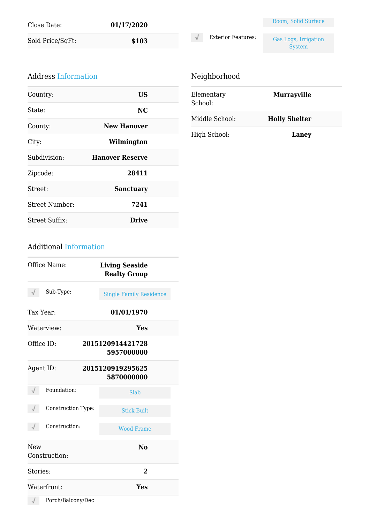| Close Date:      | 01/17/2020 |
|------------------|------------|
| Sold Price/SqFt: | \$103      |

|                           | Room, Solid Surface                   |
|---------------------------|---------------------------------------|
| <b>Exterior Features:</b> | Gas Logs, Irrigation<br><b>System</b> |

#### Address Information

| Country:              | US                     |  |
|-----------------------|------------------------|--|
| State:                | NC.                    |  |
| County:               | <b>New Hanover</b>     |  |
| City:                 | Wilmington             |  |
| Subdivision:          | <b>Hanover Reserve</b> |  |
| Zipcode:              | 28411                  |  |
| Street:               | <b>Sanctuary</b>       |  |
| Street Number:        | 7241                   |  |
| <b>Street Suffix:</b> | Drive                  |  |

 $\sqrt{ }$ 

| Elementary<br>School: | <b>Murrayville</b>   |  |
|-----------------------|----------------------|--|
| Middle School:        | <b>Holly Shelter</b> |  |
| High School:          | Laney                |  |

### Additional Information

| Office Name:                | <b>Living Seaside</b><br><b>Realty Group</b> |
|-----------------------------|----------------------------------------------|
| Sub-Type:                   | <b>Single Family Residence</b>               |
| Tax Year:                   | 01/01/1970                                   |
| Waterview:                  | Yes                                          |
| Office ID:                  | 2015120914421728<br>5957000000               |
| Agent ID:                   | 2015120919295625<br>5870000000               |
| Foundation:                 | Slab                                         |
| Construction Type:          | <b>Stick Built</b>                           |
| Construction:               | <b>Wood Frame</b>                            |
| <b>New</b><br>Construction: | $\bf No$                                     |
| Stories:                    | $\overline{2}$                               |
| Waterfront:                 | Yes                                          |
| Porch/Balcony/Dec           |                                              |